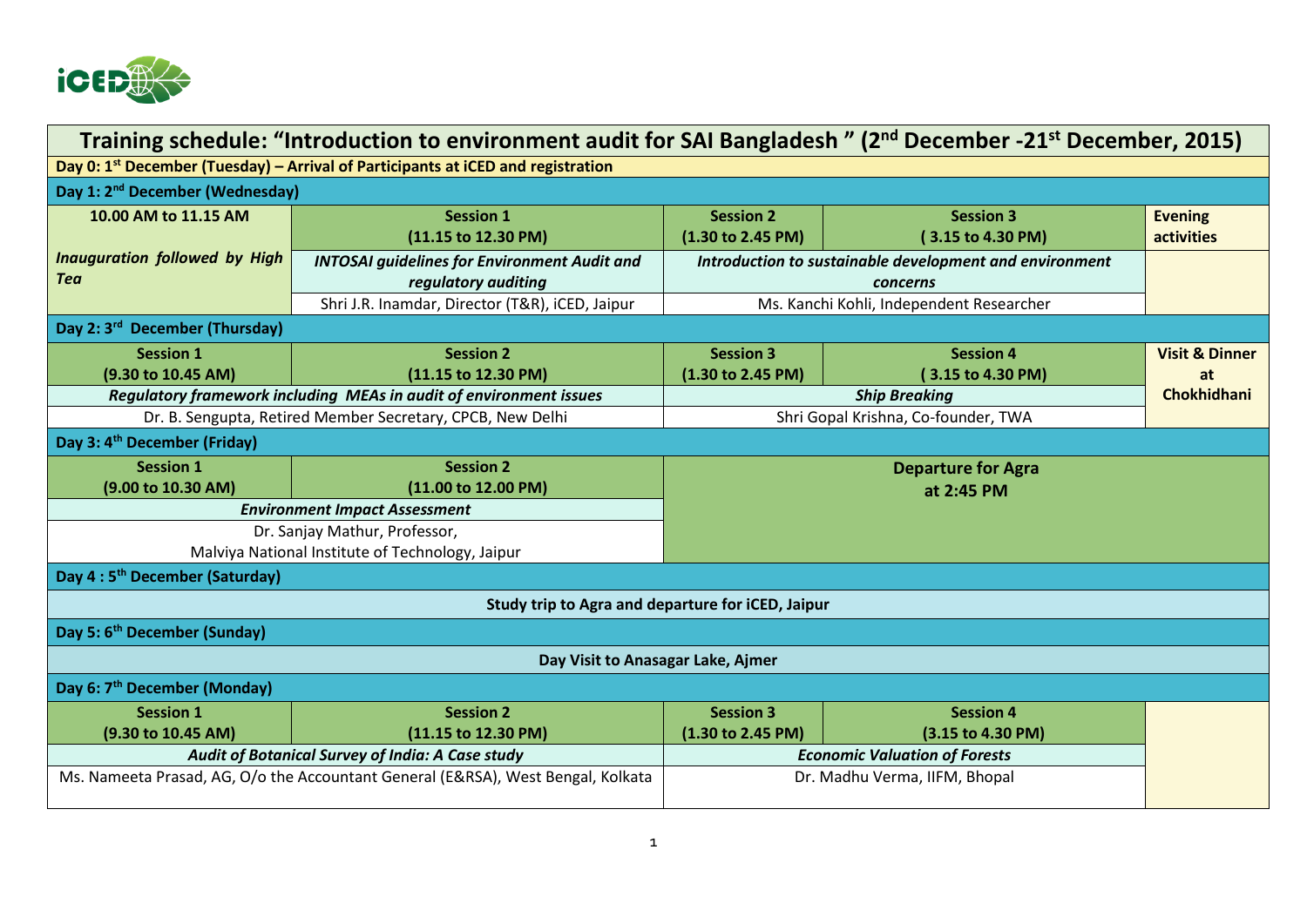

| Training schedule: "Introduction to environment audit for SAI Bangladesh" (2 <sup>nd</sup> December -21 <sup>st</sup> December, 2015) |                                                                                                                               |                                          |                                                                     |                                                       |  |  |  |
|---------------------------------------------------------------------------------------------------------------------------------------|-------------------------------------------------------------------------------------------------------------------------------|------------------------------------------|---------------------------------------------------------------------|-------------------------------------------------------|--|--|--|
| Day 0: 1 <sup>st</sup> December (Tuesday) – Arrival of Participants at iCED and registration                                          |                                                                                                                               |                                          |                                                                     |                                                       |  |  |  |
| Day 1: 2 <sup>nd</sup> December (Wednesday)                                                                                           |                                                                                                                               |                                          |                                                                     |                                                       |  |  |  |
| 10.00 AM to 11.15 AM                                                                                                                  | <b>Session 1</b><br>(11.15 to 12.30 PM)                                                                                       | <b>Session 2</b><br>(1.30 to 2.45 PM)    | <b>Session 3</b><br>(3.15 to 4.30 PM)                               | <b>Evening</b><br>activities                          |  |  |  |
| <b>Inauguration followed by High</b><br><b>Tea</b>                                                                                    | <b>INTOSAI guidelines for Environment Audit and</b><br>regulatory auditing<br>Shri J.R. Inamdar, Director (T&R), iCED, Jaipur |                                          | Introduction to sustainable development and environment<br>concerns |                                                       |  |  |  |
| Day 2: 3rd December (Thursday)                                                                                                        |                                                                                                                               | Ms. Kanchi Kohli, Independent Researcher |                                                                     |                                                       |  |  |  |
| <b>Session 1</b><br>(9.30 to 10.45 AM)                                                                                                | <b>Session 2</b><br>(11.15 to 12.30 PM)<br>Regulatory framework including MEAs in audit of environment issues                 | <b>Session 3</b><br>(1.30 to 2.45 PM)    | <b>Session 4</b><br>(3.15 to 4.30 PM)<br><b>Ship Breaking</b>       | <b>Visit &amp; Dinner</b><br>at<br><b>Chokhidhani</b> |  |  |  |
|                                                                                                                                       | Dr. B. Sengupta, Retired Member Secretary, CPCB, New Delhi                                                                    | Shri Gopal Krishna, Co-founder, TWA      |                                                                     |                                                       |  |  |  |
| Day 3: 4 <sup>th</sup> December (Friday)                                                                                              |                                                                                                                               |                                          |                                                                     |                                                       |  |  |  |
| <b>Session 1</b><br>(9.00 to 10.30 AM)                                                                                                | <b>Session 2</b><br>(11.00 to 12.00 PM)                                                                                       | <b>Departure for Agra</b><br>at 2:45 PM  |                                                                     |                                                       |  |  |  |
| <b>Environment Impact Assessment</b><br>Dr. Sanjay Mathur, Professor,<br>Malviya National Institute of Technology, Jaipur             |                                                                                                                               |                                          |                                                                     |                                                       |  |  |  |
| Day 4:5 <sup>th</sup> December (Saturday)                                                                                             |                                                                                                                               |                                          |                                                                     |                                                       |  |  |  |
| Study trip to Agra and departure for iCED, Jaipur                                                                                     |                                                                                                                               |                                          |                                                                     |                                                       |  |  |  |
| Day 5: 6 <sup>th</sup> December (Sunday)                                                                                              |                                                                                                                               |                                          |                                                                     |                                                       |  |  |  |
| Day Visit to Anasagar Lake, Ajmer                                                                                                     |                                                                                                                               |                                          |                                                                     |                                                       |  |  |  |
| Day 6: 7 <sup>th</sup> December (Monday)                                                                                              |                                                                                                                               |                                          |                                                                     |                                                       |  |  |  |
| <b>Session 1</b><br>(9.30 to 10.45 AM)                                                                                                | <b>Session 2</b><br>(11.15 to 12.30 PM)                                                                                       | <b>Session 3</b><br>(1.30 to 2.45 PM)    | <b>Session 4</b><br>(3.15 to 4.30 PM)                               |                                                       |  |  |  |
| Audit of Botanical Survey of India: A Case study                                                                                      |                                                                                                                               | <b>Economic Valuation of Forests</b>     |                                                                     |                                                       |  |  |  |
| Ms. Nameeta Prasad, AG, O/o the Accountant General (E&RSA), West Bengal, Kolkata                                                      |                                                                                                                               |                                          | Dr. Madhu Verma, IIFM, Bhopal                                       |                                                       |  |  |  |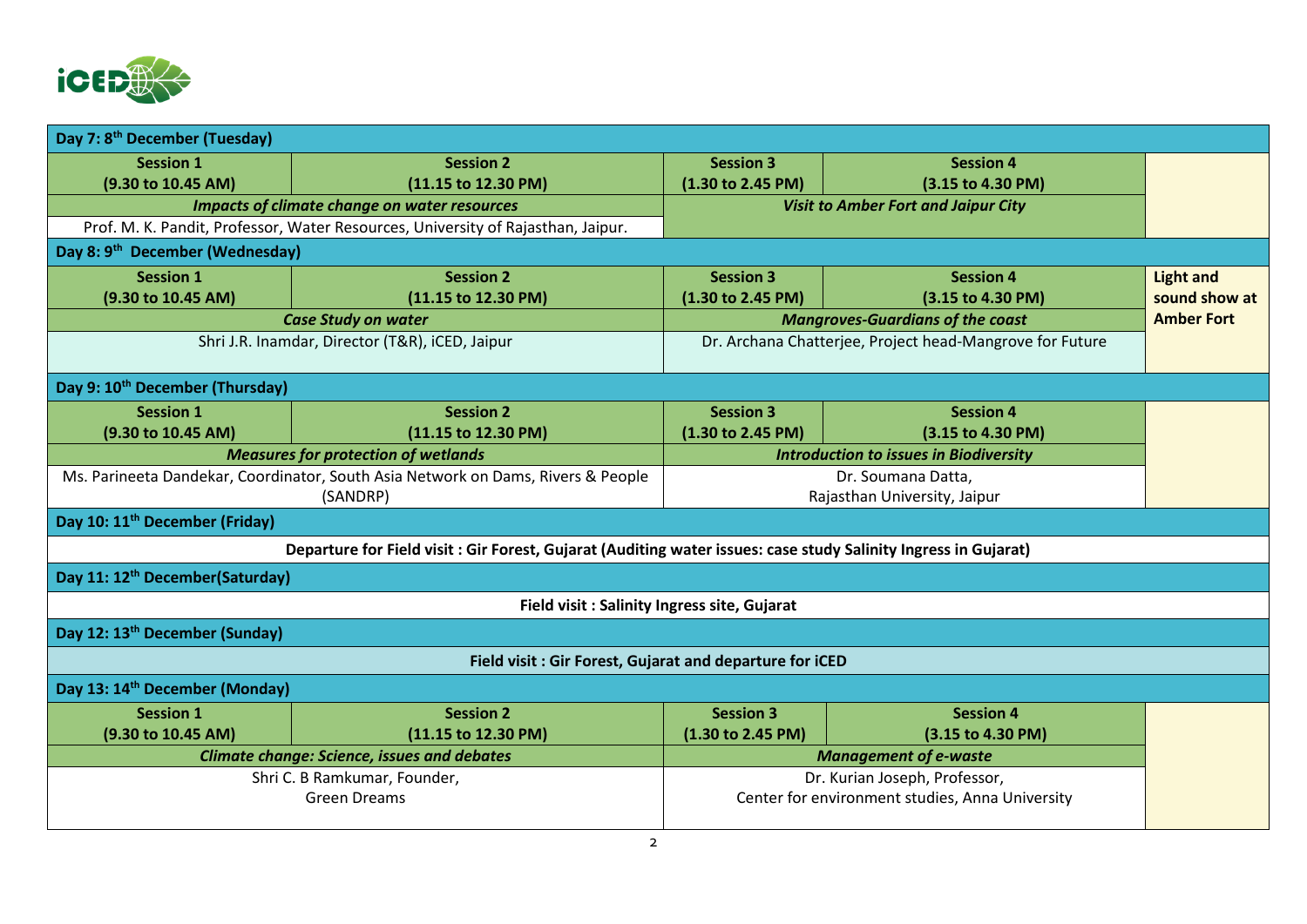

| Day 7: 8 <sup>th</sup> December (Tuesday)                                        |                                                                                                                 |                                                          |                   |                   |
|----------------------------------------------------------------------------------|-----------------------------------------------------------------------------------------------------------------|----------------------------------------------------------|-------------------|-------------------|
| <b>Session 1</b>                                                                 | <b>Session 2</b>                                                                                                | <b>Session 3</b>                                         | <b>Session 4</b>  |                   |
| (9.30 to 10.45 AM)                                                               | (11.15 to 12.30 PM)                                                                                             | (1.30 to 2.45 PM)                                        | (3.15 to 4.30 PM) |                   |
|                                                                                  | <b>Impacts of climate change on water resources</b>                                                             | <b>Visit to Amber Fort and Jaipur City</b>               |                   |                   |
| Prof. M. K. Pandit, Professor, Water Resources, University of Rajasthan, Jaipur. |                                                                                                                 |                                                          |                   |                   |
| Day 8: 9th December (Wednesday)                                                  |                                                                                                                 |                                                          |                   |                   |
| <b>Session 1</b>                                                                 | <b>Session 2</b>                                                                                                | <b>Session 3</b>                                         | <b>Session 4</b>  | <b>Light and</b>  |
| (9.30 to 10.45 AM)                                                               | (11.15 to 12.30 PM)                                                                                             | (1.30 to 2.45 PM)                                        | (3.15 to 4.30 PM) | sound show at     |
| <b>Case Study on water</b>                                                       |                                                                                                                 | <b>Mangroves-Guardians of the coast</b>                  |                   | <b>Amber Fort</b> |
| Shri J.R. Inamdar, Director (T&R), iCED, Jaipur                                  |                                                                                                                 | Dr. Archana Chatterjee, Project head-Mangrove for Future |                   |                   |
| Day 9: 10 <sup>th</sup> December (Thursday)                                      |                                                                                                                 |                                                          |                   |                   |
| <b>Session 1</b>                                                                 | <b>Session 2</b>                                                                                                | <b>Session 3</b>                                         | <b>Session 4</b>  |                   |
| (9.30 to 10.45 AM)                                                               | (11.15 to 12.30 PM)                                                                                             | (1.30 to 2.45 PM)                                        | (3.15 to 4.30 PM) |                   |
| <b>Measures for protection of wetlands</b>                                       |                                                                                                                 | <b>Introduction to issues in Biodiversity</b>            |                   |                   |
| Ms. Parineeta Dandekar, Coordinator, South Asia Network on Dams, Rivers & People |                                                                                                                 | Dr. Soumana Datta,                                       |                   |                   |
| (SANDRP)                                                                         |                                                                                                                 | Rajasthan University, Jaipur                             |                   |                   |
| Day 10: 11 <sup>th</sup> December (Friday)                                       |                                                                                                                 |                                                          |                   |                   |
|                                                                                  | Departure for Field visit : Gir Forest, Gujarat (Auditing water issues: case study Salinity Ingress in Gujarat) |                                                          |                   |                   |
| Day 11: 12 <sup>th</sup> December(Saturday)                                      |                                                                                                                 |                                                          |                   |                   |
|                                                                                  | Field visit: Salinity Ingress site, Gujarat                                                                     |                                                          |                   |                   |
| Day 12: 13 <sup>th</sup> December (Sunday)                                       |                                                                                                                 |                                                          |                   |                   |
|                                                                                  | Field visit: Gir Forest, Gujarat and departure for iCED                                                         |                                                          |                   |                   |
| Day 13: 14 <sup>th</sup> December (Monday)                                       |                                                                                                                 |                                                          |                   |                   |
| <b>Session 1</b>                                                                 | <b>Session 2</b>                                                                                                | <b>Session 3</b>                                         | <b>Session 4</b>  |                   |
| (9.30 to 10.45 AM)                                                               | (11.15 to 12.30 PM)                                                                                             | (1.30 to 2.45 PM)                                        | (3.15 to 4.30 PM) |                   |
| <b>Climate change: Science, issues and debates</b>                               |                                                                                                                 | <b>Management of e-waste</b>                             |                   |                   |
| Shri C. B Ramkumar, Founder,                                                     |                                                                                                                 | Dr. Kurian Joseph, Professor,                            |                   |                   |
| <b>Green Dreams</b>                                                              |                                                                                                                 | Center for environment studies, Anna University          |                   |                   |
|                                                                                  |                                                                                                                 |                                                          |                   |                   |